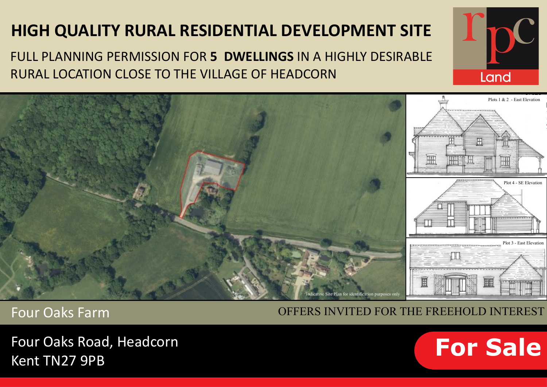# **HIGH QUALITY RURAL RESIDENTIAL DEVELOPMENT SITE**

FULL PLANNING PERMISSION FOR **5 DWELLINGS** IN A HIGHLY DESIRABLE RURAL LOCATION CLOSE TO THE VILLAGE OF HEADCORN



Four Oaks Farm

OFFERS INVITED FOR THE FREEHOLD INTEREST

Four Oaks Road, Headcorn Kent TN27 9PB



Land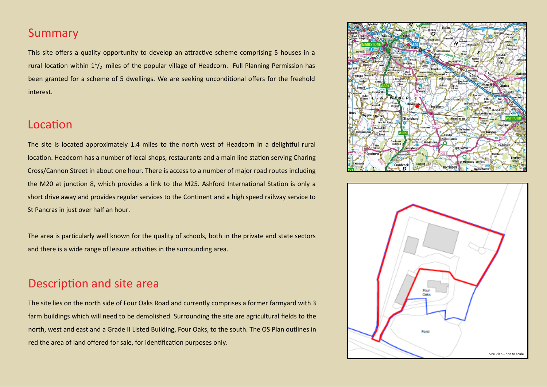#### Summary

This site offers a quality opportunity to develop an attractive scheme comprising 5 houses in a rural location within  $1^1/2$  miles of the popular village of Headcorn. Full Planning Permission has been granted for a scheme of 5 dwellings. We are seeking unconditional offers for the freehold interest.

#### Location

The site is located approximately 1.4 miles to the north west of Headcorn in a delightful rural location. Headcorn has a number of local shops, restaurants and a main line station serving Charing Cross/Cannon Street in about one hour. There is access to a number of major road routes including the M20 at junction 8, which provides a link to the M25. Ashford International Station is only a short drive away and provides regular services to the Continent and a high speed railway service to St Pancras in just over half an hour.

The area is particularly well known for the quality of schools, both in the private and state sectors and there is a wide range of leisure activities in the surrounding area.

### Description and site area

The site lies on the north side of Four Oaks Road and currently comprises a former farmyard with 3 farm buildings which will need to be demolished. Surrounding the site are agricultural fields to the north, west and east and a Grade II Listed Building, Four Oaks, to the south. The OS Plan outlines in red the area of land offered for sale, for identification purposes only.



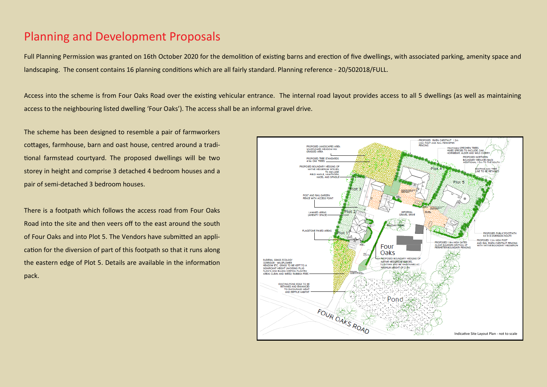#### Planning and Development Proposals

Full Planning Permission was granted on 16th October 2020 for the demolition of existing barns and erection of five dwellings, with associated parking, amenity space and landscaping. The consent contains 16 planning conditions which are all fairly standard. Planning reference - 20/502018/FULL.

Access into the scheme is from Four Oaks Road over the existing vehicular entrance. The internal road layout provides access to all 5 dwellings (as well as maintaining access to the neighbouring listed dwelling 'Four Oaks'). The access shall be an informal gravel drive.

The scheme has been designed to resemble a pair of farmworkers cottages, farmhouse, barn and oast house, centred around a traditional farmstead courtyard. The proposed dwellings will be two storey in height and comprise 3 detached 4 bedroom houses and a pair of semi-detached 3 bedroom houses.

There is a footpath which follows the access road from Four Oaks Road into the site and then veers off to the east around the south of Four Oaks and into Plot 5. The Vendors have submitted an application for the diversion of part of this footpath so that it runs along the eastern edge of Plot 5. Details are available in the information pack.

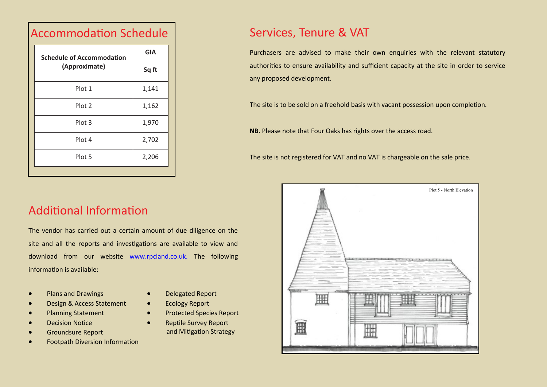| <b>Schedule of Accommodation</b><br>(Approximate) | <b>GIA</b> |
|---------------------------------------------------|------------|
|                                                   | Sq ft      |
| Plot 1                                            | 1,141      |
| Plot 2                                            | 1,162      |
| Plot 3                                            | 1,970      |
| Plot 4                                            | 2,702      |
| Plot 5                                            | 2,206      |

### $A = A + A + A$  Schedule Schedule Schedule Schedule Schedule Schedule Schedule Schedule Schedule Schedule Schedule Schedule Schedule Schedule Schedule Schedule Schedule Schedule Schedule Schedule Schedule Schedule Schedule Sche

#### Services, Tenure & VAT

Purchasers are advised to make their own enquiries with the relevant statutory authorities to ensure availability and sufficient capacity at the site in order to service any proposed development.

The site is to be sold on a freehold basis with vacant possession upon completion.

**NB.** Please note that Four Oaks has rights over the access road.

The site is not registered for VAT and no VAT is chargeable on the sale price.

# Additional Information

The vendor has carried out a certain amount of due diligence on the site and all the reports and investigations are available to view and download from our website www.rpcland.co.uk. The following information is available:

- Plans and Drawings
- Design & Access Statement
- Planning Statement
- **Decision Notice**
- Groundsure Report
- Footpath Diversion Information
- Delegated Report
- Ecology Report
- Protected Species Report
- Reptile Survey Report and Mitigation Strategy